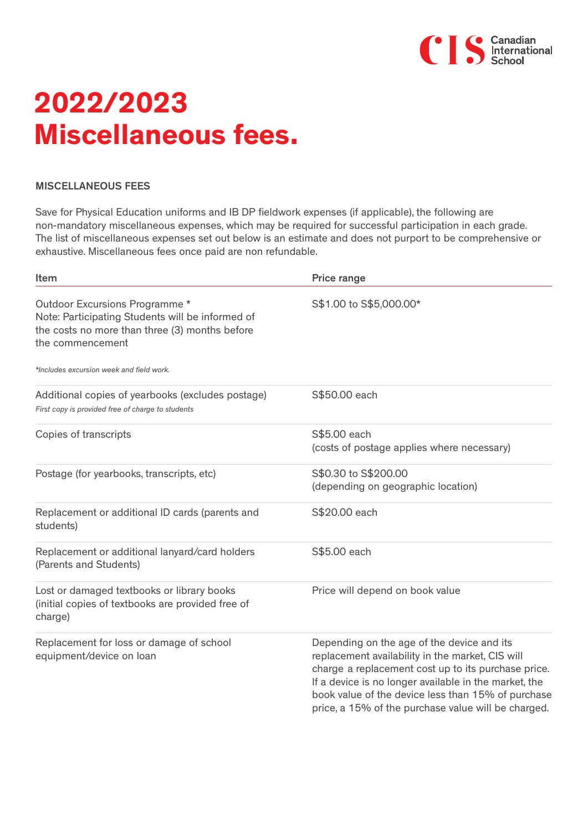

## **2022/2023 Miscellaneous fees.**

## MISCELLANEOUS FEES

Save for Physical Education uniforms and IB DP fieldwork expenses (if applicable), the following are non-mandatory miscellaneous expenses, which may be required for successful participation in each grade. The list of miscellaneous expenses set out below is an estimate and does not purport to be comprehensive or exhaustive. Miscellaneous fees once paid are non refundable.

| Item                                                                                                                                                     | Price range                                                                                                                                                                                                                                                                                                                 |
|----------------------------------------------------------------------------------------------------------------------------------------------------------|-----------------------------------------------------------------------------------------------------------------------------------------------------------------------------------------------------------------------------------------------------------------------------------------------------------------------------|
| Outdoor Excursions Programme *<br>Note: Participating Students will be informed of<br>the costs no more than three (3) months before<br>the commencement | S\$1.00 to S\$5,000.00*                                                                                                                                                                                                                                                                                                     |
| *Includes excursion week and field work.                                                                                                                 |                                                                                                                                                                                                                                                                                                                             |
| Additional copies of yearbooks (excludes postage)<br>First copy is provided free of charge to students                                                   | S\$50.00 each                                                                                                                                                                                                                                                                                                               |
| Copies of transcripts                                                                                                                                    | S\$5.00 each<br>(costs of postage applies where necessary)                                                                                                                                                                                                                                                                  |
| Postage (for yearbooks, transcripts, etc)                                                                                                                | S\$0.30 to S\$200.00<br>(depending on geographic location)                                                                                                                                                                                                                                                                  |
| Replacement or additional ID cards (parents and<br>students)                                                                                             | S\$20.00 each                                                                                                                                                                                                                                                                                                               |
| Replacement or additional lanyard/card holders<br>(Parents and Students)                                                                                 | S\$5.00 each                                                                                                                                                                                                                                                                                                                |
| Lost or damaged textbooks or library books<br>(initial copies of textbooks are provided free of<br>charge)                                               | Price will depend on book value                                                                                                                                                                                                                                                                                             |
| Replacement for loss or damage of school<br>equipment/device on loan                                                                                     | Depending on the age of the device and its<br>replacement availability in the market, CIS will<br>charge a replacement cost up to its purchase price.<br>If a device is no longer available in the market, the<br>book value of the device less than 15% of purchase<br>price, a 15% of the purchase value will be charged. |